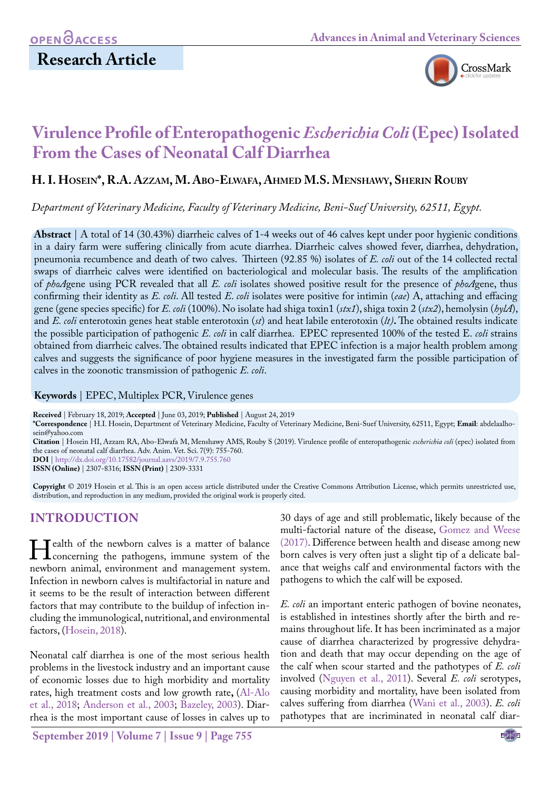# **Research Article**



# **Virulence Profile of Enteropathogenic** *Escherichia Coli* **(Epec) Isolated From the Cases of Neonatal Calf Diarrhea**

#### **H. I. Hosein\*, R.A. Azzam, M. Abo-Elwafa, Ahmed M.S. Menshawy, Sherin Rouby**

*Department of Veterinary Medicine, Faculty of Veterinary Medicine, Beni-Suef University, 62511, Egypt.*

**Abstract** | A total of 14 (30.43%) diarrheic calves of 1-4 weeks out of 46 calves kept under poor hygienic conditions in a dairy farm were suffering clinically from acute diarrhea. Diarrheic calves showed fever, diarrhea, dehydration, pneumonia recumbence and death of two calves. Thirteen (92.85 %) isolates of *E. coli* out of the 14 collected rectal swaps of diarrheic calves were identified on bacteriological and molecular basis. The results of the amplification of *phoA*gene using PCR revealed that all *E. coli* isolates showed positive result for the presence of *phoA*gene, thus confirming their identity as *E. coli*. All tested *E*. *coli* isolates were positive for intimin (*eae*) A, attaching and effacing gene (gene species specific) for *E. coli* (100%). No isolate had shiga toxin1 (*stx1*), shiga toxin 2 (*stx2*), hemolysin (*hylA*), and *E. coli* enterotoxin genes heat stable enterotoxin (*st*) and heat labile enterotoxin (*lt)***.** The obtained results indicate the possible participation of pathogenic *E. coli* in calf diarrhea. EPEC represented 100% of the tested E. *coli* strains obtained from diarrheic calves. The obtained results indicated that EPEC infection is a major health problem among calves and suggests the significance of poor hygiene measures in the investigated farm the possible participation of calves in the zoonotic transmission of pathogenic *E. coli*.

#### **Keywords** | EPEC, Multiplex PCR, Virulence genes

**Received** | February 18, 2019; **Accepted** | June 03, 2019; **Published** | August 24, 2019

**\*Correspondence** | H.I. Hosein, Department of Veterinary Medicine, Faculty of Veterinary Medicine, Beni-Suef University, 62511, Egypt; **Email**: abdelaalhosein@yahoo.com

**Citation** | Hosein HI, Azzam RA, Abo-Elwafa M, Menshawy AMS, Rouby S (2019). Virulence profile of enteropathogenic *escherichia coli* (epec) isolated from the cases of neonatal calf diarrhea. Adv. Anim. Vet. Sci. 7(9): 755-760.

**DOI** | [http://dx.doi.org/10.17582/journal.aavs/2019](http://dx.doi.org/10.17582/journal.aavs/2019/7.9.755.760)/7.9.755.760

**ISSN (Online)** | 2307-8316; **ISSN (Print)** | 2309-3331

**Copyright** © 2019 Hosein et al. This is an open access article distributed under the Creative Commons Attribution License, which permits unrestricted use, distribution, and reproduction in any medium, provided the original work is properly cited.

### **Introduction**

ealth of the newborn calves is a matter of balance<br>
concerning the pathogens, immune system of the<br>
newborn animal environment and management system newborn animal, environment and management system. Infection in newborn calves is multifactorial in nature and it seems to be the result of interaction between different factors that may contribute to the buildup of infection including the immunological, nutritional, and environmental factors, ([Hosein, 2018\)](#page-5-0).

Neonatal calf diarrhea is one of the most serious health problems in the livestock industry and an important cause of economic losses due to high morbidity and mortality rates, high treatment costs and low growth rate**,** (Al-Alo et al., 2018; [Anderson et al., 2003;](#page-4-0) [Bazeley, 2003](#page-4-1)). Diarrhea is the most important cause of losses in calves up to

**September 2019 | Volume 7 | Issue 9 | Page 755**

30 days of age and still problematic, likely because of the multi-factorial nature of the disease, [Gomez and Weese](#page-5-1) [\(2017\).](#page-5-1) Difference between health and disease among new born calves is very often just a slight tip of a delicate balance that weighs calf and environmental factors with the pathogens to which the calf will be exposed.

*E. coli* an important enteric pathogen of bovine neonates, is established in intestines shortly after the birth and remains throughout life. It has been incriminated as a major cause of diarrhea characterized by progressive dehydration and death that may occur depending on the age of the calf when scour started and the pathotypes of *E. coli* involved ([Nguyen et al., 2011\)](#page-5-2). Several *E. coli* serotypes, causing morbidity and mortality, have been isolated from calves suffering from diarrhea (Wani et al., 2003). *E. coli*  pathotypes that are incriminated in neonatal calf diar-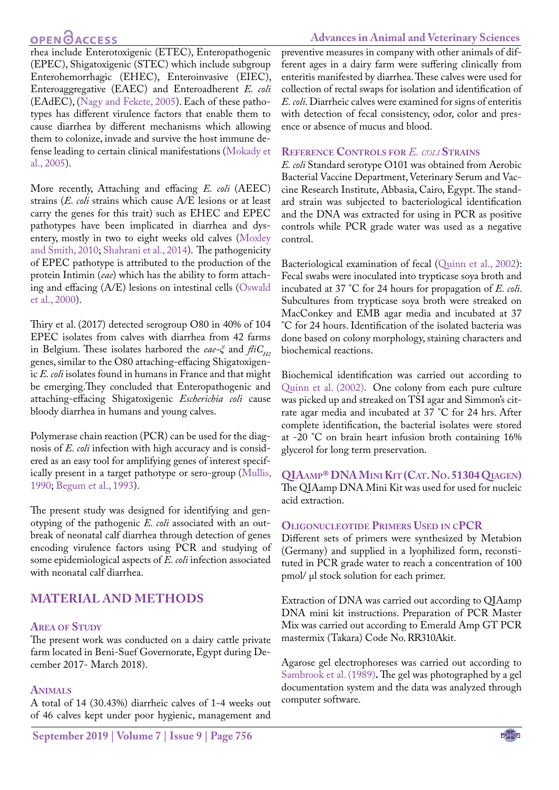## **OPEN GACCESS**

#### **Advances in Animal and Veterinary Sciences**

rhea include Enterotoxigenic (ETEC), Enteropathogenic (EPEC), Shigatoxigenic (STEC) which include subgroup Enterohemorrhagic (EHEC), Enteroinvasive (EIEC), Enteroaggregative (EAEC) and Enteroadherent *E. coli*  (EAdEC), [\(Nagy and Fekete, 2005](#page-5-3)). Each of these pathotypes has different virulence factors that enable them to cause diarrhea by different mechanisms which allowing them to colonize, invade and survive the host immune defense leading to certain clinical manifestations ([Mokady et](#page-5-4) [al., 2005\)](#page-5-4).

More recently, Attaching and effacing *E. coli* (AEEC) strains (*E. coli* strains which cause A/E lesions or at least carry the genes for this trait) such as EHEC and EPEC pathotypes have been implicated in diarrhea and dysentery, mostly in two to eight weeks old calves [\(Moxley](#page-5-5) [and Smith, 2010;](#page-5-5) [Shahrani et al., 2014\)](#page-5-6). The pathogenicity of EPEC pathotype is attributed to the production of the protein Intimin (*eae*) which has the ability to form attaching and effacing (A/E) lesions on intestinal cells (Oswald et al., 2000).

Thiry et al. (2017) detected serogroup O80 in 40% of 104 EPEC isolates from calves with diarrhea from 42 farms in Belgium. These isolates harbored the *eae-ξ* and  $\hat{f}/iG_{H2}$ genes, similar to the O80 attaching-effacing Shigatoxigenic *E. coli* isolates found in humans in France and that might be emerging.They concluded that Enteropathogenic and attaching-effacing Shigatoxigenic *Escherichia coli* cause bloody diarrhea in humans and young calves.

Polymerase chain reaction (PCR) can be used for the diagnosis of *E. coli* infection with high accuracy and is considered as an easy tool for amplifying genes of interest specifically present in a target pathotype or sero-group ([Mullis,](#page-5-7) [1990](#page-5-7); [Begum et al., 1993](#page-4-2)).

The present study was designed for identifying and genotyping of the pathogenic *E. coli* associated with an outbreak of neonatal calf diarrhea through detection of genes encoding virulence factors using PCR and studying of some epidemiological aspects of *E. coli* infection associated with neonatal calf diarrhea.

## **Material and Methods**

#### **Area of Study**

The present work was conducted on a dairy cattle private farm located in Beni-Suef Governorate, Egypt during December 2017- March 2018).

#### **Animals**

A total of 14 (30.43%) diarrheic calves of 1-4 weeks out of 46 calves kept under poor hygienic, management and preventive measures in company with other animals of different ages in a dairy farm were suffering clinically from enteritis manifested by diarrhea. These calves were used for collection of rectal swaps for isolation and identification of *E. coli*. Diarrheic calves were examined for signs of enteritis with detection of fecal consistency, odor, color and presence or absence of mucus and blood.

### **Reference Controls for** *E. coli* **Strains**

*E. coli* Standard serotype O101 was obtained from Aerobic Bacterial Vaccine Department, Veterinary Serum and Vaccine Research Institute, Abbasia, Cairo, Egypt. The standard strain was subjected to bacteriological identification and the DNA was extracted for using in PCR as positive controls while PCR grade water was used as a negative control.

Bacteriological examination of fecal ([Quinn et al., 2002\)](#page-5-8): Fecal swabs were inoculated into trypticase soya broth and incubated at 37 °C for 24 hours for propagation of *E. coli*. Subcultures from trypticase soya broth were streaked on MacConkey and EMB agar media and incubated at 37 °C for 24 hours. Identification of the isolated bacteria was done based on colony morphology, staining characters and biochemical reactions.

Biochemical identification was carried out according to [Quinn et al. \(2002\).](#page-5-8) One colony from each pure culture was picked up and streaked on TSI agar and Simmon's citrate agar media and incubated at 37 °C for 24 hrs. After complete identification, the bacterial isolates were stored at -20 °C on brain heart infusion broth containing 16% glycerol for long term preservation.

**QIAamp® DNA Mini Kit (Cat. No. 51304 Qiagen)** The QIAamp DNA Mini Kit was used for used for nucleic acid extraction.

#### **Oligonucleotide Primers Used in cPCR**

Different sets of primers were synthesized by Metabion (Germany) and supplied in a lyophilized form, reconstituted in PCR grade water to reach a concentration of 100 pmol/ μl stock solution for each primer.

Extraction of DNA was carried out according to QIAamp DNA mini kit instructions. Preparation of PCR Master Mix was carried out according to Emerald Amp GT PCR mastermix (Takara) Code No. RR310Akit.

Agarose gel electrophoreses was carried out according to [Sambrook et al. \(1989](#page-5-9))**.** The gel was photographed by a gel documentation system and the data was analyzed through computer software.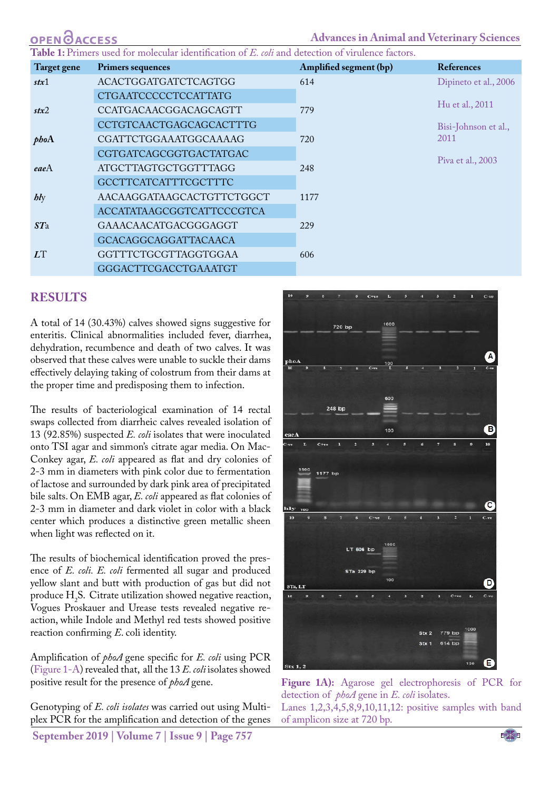| <b>OPEN OACCESS</b> |                                                                                                   | <b>Advances in Animal and Veterinary Sciences</b> |                                          |
|---------------------|---------------------------------------------------------------------------------------------------|---------------------------------------------------|------------------------------------------|
|                     | Table 1: Primers used for molecular identification of E. coli and detection of virulence factors. |                                                   |                                          |
| Target gene         | <b>Primers sequences</b>                                                                          | Amplified segment (bp)                            | <b>References</b>                        |
| stx1                | <b>ACACTGGATGATCTCAGTGG</b>                                                                       | 614                                               | Dipineto et al., 2006<br>Hu et al., 2011 |
|                     | <b>CTGAATCCCCCTCCATTATG</b>                                                                       |                                                   |                                          |
| stx2                | CCATGACAACGGACAGCAGTT                                                                             | 779                                               |                                          |
|                     | <b>CCTGTCAACTGAGCAGCACTTTG</b>                                                                    |                                                   | Bisi-Johnson et al.,                     |
| phoA                | CGATTCTGGAAATGGCAAAAG                                                                             | 720                                               | 2011                                     |
|                     | CGTGATCAGCGGTGACTATGAC                                                                            |                                                   | Piva et al., 2003                        |
| eaeA                | <b>ATGCTTAGTGCTGGTTTAGG</b>                                                                       | 248                                               |                                          |
|                     | <b>GCCTTCATCATTTCGCTTTC</b>                                                                       |                                                   |                                          |
| $\mathit{b}$        | AACAAGGATAAGCACTGTTCTGGCT                                                                         | 1177                                              |                                          |
|                     | ACCATATAAGCGGTCATTCCCGTCA                                                                         |                                                   |                                          |
| STa                 | GAAACAACATGACGGGAGGT                                                                              | 229                                               |                                          |
|                     | <b>GCACAGGCAGGATTACAACA</b>                                                                       |                                                   |                                          |
| LT                  | GGTTTCTGCGTTAGGTGGAA                                                                              | 606                                               |                                          |
|                     | <b>GGGACTTCGACCTGAAATGT</b>                                                                       |                                                   |                                          |

### **Results**

A total of 14 (30.43%) calves showed signs suggestive for enteritis. Clinical abnormalities included fever, diarrhea, dehydration, recumbence and death of two calves. It was observed that these calves were unable to suckle their dams effectively delaying taking of colostrum from their dams at the proper time and predisposing them to infection.

The results of bacteriological examination of 14 rectal swaps collected from diarrheic calves revealed isolation of 13 (92.85%) suspected *E. coli* isolates that were inoculated onto TSI agar and simmon's citrate agar media. On Mac-Conkey agar, *E. coli* appeared as flat and dry colonies of 2-3 mm in diameters with pink color due to fermentation of lactose and surrounded by dark pink area of precipitated bile salts. On EMB agar, *E. coli* appeared as flat colonies of 2-3 mm in diameter and dark violet in color with a black center which produces a distinctive green metallic sheen when light was reflected on it.

The results of biochemical identification proved the presence of *E. coli. E. coli* fermented all sugar and produced yellow slant and butt with production of gas but did not produce  $H_2S$ . Citrate utilization showed negative reaction, Vogues Proskauer and Urease tests revealed negative reaction, while Indole and Methyl red tests showed positive reaction confirming *E*. coli identity.

Amplification of *phoA* gene specific for *E. coli* using PCR ([Figure 1-A](#page-2-0)) revealed that, all the 13 *E. coli* isolates showed positive result for the presence of *phoA* gene.

Genotyping of *E. coli isolates* was carried out using Multiplex PCR for the amplification and detection of the genes

**September 2019 | Volume 7 | Issue 9 | Page 757**



<span id="page-2-0"></span>**Figure 1A):** Agarose gel electrophoresis of PCR for detection of *phoA* gene in *E. coli* isolates.

Lanes 1,2,3,4,5,8,9,10,11,12: positive samples with band of amplicon size at 720 bp.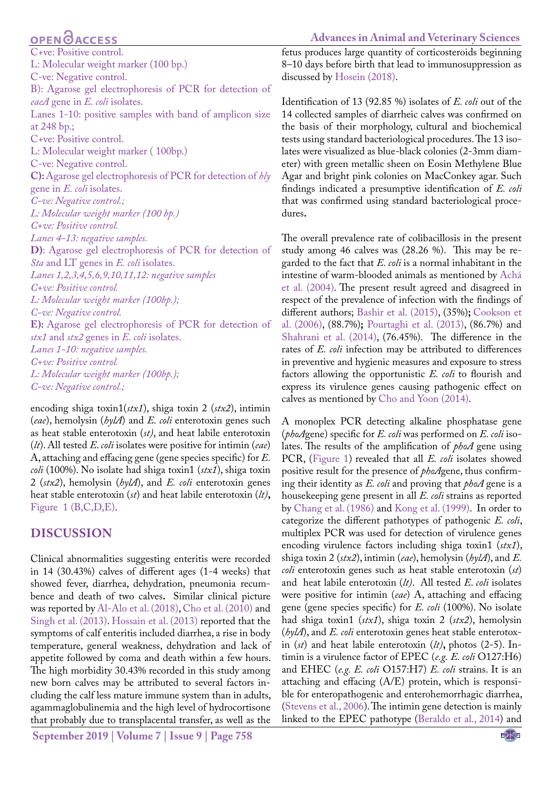## **OPEN GACCESS**

C+ve: Positive control. L: Molecular weight marker (100 bp.) C-ve: Negative control. B): Agarose gel electrophoresis of PCR for detection of *eaeA* gene in *E. coli* isolates. Lanes 1-10: positive samples with band of amplicon size at 248 bp.; C+ve: Positive control. L: Molecular weight marker ( 100bp.) C-ve: Negative control. **C):** Agarose gel electrophoresis of PCR for detection of *hly* gene in *E. coli* isolates. *C-ve: Negative control.; L: Molecular weight marker (100 bp.) C+ve: Positive control. Lanes 4-13: negative samples.* **D)**: Agarose gel electrophoresis of PCR for detection of *Sta* and LT genes in *E. coli* isolates. *Lanes 1,2,3,4,5,6,9,10,11,12: negative samples C+ve: Positive control. L: Molecular weight marker (100bp.); C-ve: Negative control.*  **E):** Agarose gel electrophoresis of PCR for detection of *stx1* and *stx2* genes in *E. coli* isolates. *Lanes 1-10: negative samples. C+ve: Positive control. L: Molecular weight marker (100bp.); C-ve: Negative control.;*

encoding shiga toxin1(*stx1*), shiga toxin 2 (*stx2*), intimin (*eae*), hemolysin (*hylA*) and *E. coli* enterotoxin genes such as heat stable enterotoxin (*st)*, and heat labile enterotoxin (*lt*). All tested *E*. *coli* isolates were positive for intimin (*eae*) A, attaching and effacing gene (gene species specific) for *E. coli* (100%). No isolate had shiga toxin1 (*stx1*), shiga toxin 2 (*stx2*), hemolysin (*hylA*), and *E. coli* enterotoxin genes heat stable enterotoxin (*st*) and heat labile enterotoxin (*lt)***,**  [Figure 1 \(B,C,D,E\)](#page-2-0).

### **Discussion**

Clinical abnormalities suggesting enteritis were recorded in 14 (30.43%) calves of different ages (1-4 weeks) that showed fever, diarrhea, dehydration, pneumonia recumbence and death of two calves**.** Similar clinical picture was reported by Al-Alo et al. (2018), [Cho et al. \(2010\)](#page-5-13) and [Singh et al. \(2013\)](#page-5-14). [Hossain et al. \(2013\)](#page-5-15) reported that the symptoms of calf enteritis included diarrhea, a rise in body temperature, general weakness, dehydration and lack of appetite followed by coma and death within a few hours. The high morbidity 30.43% recorded in this study among new born calves may be attributed to several factors including the calf less mature immune system than in adults, agammaglobulinemia and the high level of hydrocortisone that probably due to transplacental transfer, as well as the

fetus produces large quantity of corticosteroids beginning 8–10 days before birth that lead to immunosuppression as discussed by [Hosein \(2018\)](#page-5-0).

Identification of 13 (92.85 %) isolates of *E. coli* out of the 14 collected samples of diarrheic calves was confirmed on the basis of their morphology, cultural and biochemical tests using standard bacteriological procedures. The 13 isolates were visualized as blue-black colonies (2-3mm diameter) with green metallic sheen on Eosin Methylene Blue Agar and bright pink colonies on MacConkey agar. Such findings indicated a presumptive identification of *E. coli*  that was confirmed using standard bacteriological procedures**.** 

The overall prevalence rate of colibacillosis in the present study among 46 calves was (28.26 %). This may be regarded to the fact that *E. coli* is a normal inhabitant in the intestine of warm-blooded animals as mentioned by Achá et al. (2004). The present result agreed and disagreed in respect of the prevalence of infection with the findings of different authors; [Bashir et al. \(2015\)](#page-4-4), (35%)**;** [Cookson et](#page-5-16)  [al. \(2006\)](#page-5-16), (88.7%)**;** [Pourtaghi et al. \(2013\)](#page-5-17), (86.7%) and [Shahrani et al. \(2014\)](#page-5-6), (76.45%). The difference in the rates of *E. coli* infection may be attributed to differences in preventive and hygienic measures and exposure to stress factors allowing the opportunistic *E. coli* to flourish and express its virulence genes causing pathogenic effect on calves as mentioned by [Cho and Yoon \(2014\)](#page-4-5).

A monoplex PCR detecting alkaline phosphatase gene (*phoA*gene) specific for *E. coli* was performed on *E. coli* isolates. The results of the amplification of *phoA* gene using PCR, ([Figure 1\)](#page-2-0) revealed that all *E. coli* isolates showed positive result for the presence of *phoA*gene, thus confirming their identity as *E. coli* and proving that *phoA* gene is a housekeeping gene present in all *E. coli* strains as reported by [Chang et al. \(1986\)](#page-4-6) and [Kong et al. \(1999\)](#page-5-18). In order to categorize the different pathotypes of pathogenic *E. coli*, multiplex PCR was used for detection of virulence genes encoding virulence factors including shiga toxin1 (*stx1*), shiga toxin 2 (*stx2*), intimin (*eae*), hemolysin (*hylA*), and *E. coli* enterotoxin genes such as heat stable enterotoxin (*st*) and heat labile enterotoxin (*lt)*. All tested *E*. *coli* isolates were positive for intimin (*eae*) A, attaching and effacing gene (gene species specific) for *E. coli* (100%). No isolate had shiga toxin1 (*stx1*), shiga toxin 2 (*stx2*), hemolysin (*hylA*), and *E. coli* enterotoxin genes heat stable enterotoxin (*st*) and heat labile enterotoxin (*lt)***,** photos (2-5). Intimin is a virulence factor of EPEC (*e.g. E. coli* O127:H6) and EHEC (*e.g. E. coli* O157:H7) *E. coli* strains. It is an attaching and effacing (A/E) protein, which is responsible for enteropathogenic and enterohemorrhagic diarrhea, (Stevens et al., 2006). The intimin gene detection is mainly linked to the EPEC pathotype [\(Beraldo et al., 2014](#page-4-7)) and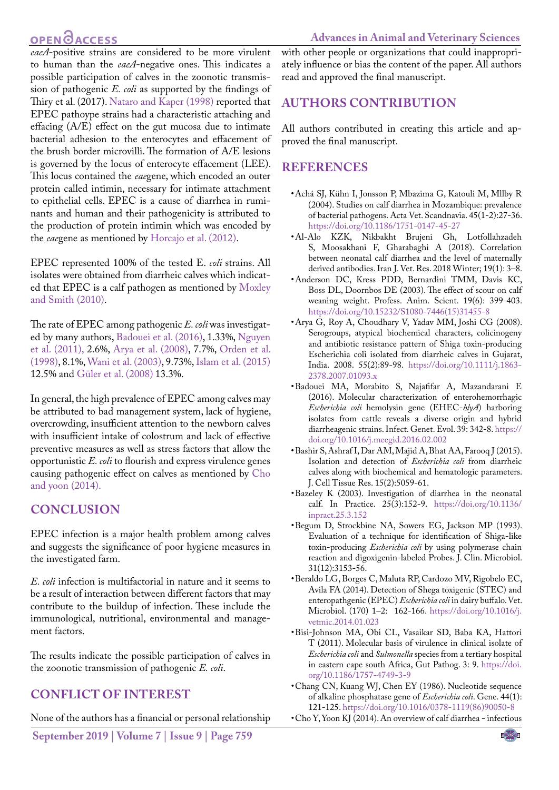## **OPEN**OACCESS

*eaeA*-positive strains are considered to be more virulent to human than the *eaeA*-negative ones. This indicates a possible participation of calves in the zoonotic transmission of pathogenic *E. coli* as supported by the findings of Thiry et al. (2017). [Nataro and Kaper \(1998\)](#page-5-19) reported that EPEC pathoype strains had a characteristic attaching and effacing (A/E) effect on the gut mucosa due to intimate bacterial adhesion to the enterocytes and effacement of the brush border microvilli. The formation of A/E lesions is governed by the locus of enterocyte effacement (LEE). This locus contained the *eae*gene, which encoded an outer protein called intimin, necessary for intimate attachment to epithelial cells. EPEC is a cause of diarrhea in ruminants and human and their pathogenicity is attributed to the production of protein intimin which was encoded by the *eae*gene as mentioned by Horcajo et al. (2012).

EPEC represented 100% of the tested E. *coli* strains. All isolates were obtained from diarrheic calves which indicated that EPEC is a calf pathogen as mentioned by [Moxley](#page-5-5) [and Smith \(2010\)](#page-5-5).

The rate of EPEC among pathogenic *E. coli* was investigated by many authors, [Badouei et al. \(2016\),](#page-4-8) 1.33%, [Nguyen](#page-5-2) [et al. \(2011\),](#page-5-2) 2.6%, Arya et al. (2008), 7.7%, Orden et al. (1998), 8.1%, Wani et al. (2003), 9.73%, [Islam et al. \(2015\)](#page-5-20) 12.5% and Güler et al. (2008) 13.3%.

In general, the high prevalence of EPEC among calves may be attributed to bad management system, lack of hygiene, overcrowding, insufficient attention to the newborn calves with insufficient intake of colostrum and lack of effective preventive measures as well as stress factors that allow the opportunistic *E. coli* to flourish and express virulence genes causing pathogenic effect on calves as mentioned by [Cho](#page-4-5) [and yoon \(2014\).](#page-4-5)

## **Conclusion**

EPEC infection is a major health problem among calves and suggests the significance of poor hygiene measures in the investigated farm.

*E. coli* infection is multifactorial in nature and it seems to be a result of interaction between different factors that may contribute to the buildup of infection. These include the immunological, nutritional, environmental and management factors.

The results indicate the possible participation of calves in the zoonotic transmission of pathogenic *E. coli*.

## **Conflict of Interest**

None of the authors has a financial or personal relationship

**September 2019 | Volume 7 | Issue 9 | Page 759**

with other people or organizations that could inappropriately influence or bias the content of the paper. All authors read and approved the final manuscript.

# **Authors Contribution**

All authors contributed in creating this article and approved the final manuscript.

## **References**

- • Achá SJ, Kühn I, Jonsson P, Mbazima G, Katouli M, Mllby R (2004). Studies on calf diarrhea in Mozambique: prevalence of bacterial pathogens. Acta Vet. Scandnavia. 45(1-2):27-36. <https://doi.org/10.1186/1751-0147-45-27>
- • Al-Alo KZK, Nikbakht Brujeni Gh, Lotfollahzadeh S, Moosakhani F, Gharabaghi A (2018). Correlation between neonatal calf diarrhea and the level of maternally derived antibodies. Iran J. Vet. Res. 2018 Winter; 19(1): 3–8.
- <span id="page-4-0"></span>• Anderson DC, Kress PDD, Bernardini TMM, Davis KC, Boss DL, Doornbos DE (2003). The effect of scour on calf weaning weight. Profess. Anim. Scient. 19(6): 399-403. [https://doi.org/10.15232/S1080-7446\(15\)31455-8](https://doi.org/10.15232/S1080-7446(15)31455-8)
- • Arya G, Roy A, Choudhary V, Yadav MM, Joshi CG (2008). Serogroups, atypical biochemical characters, colicinogeny and antibiotic resistance pattern of Shiga toxin-producing Escherichia coli isolated from diarrheic calves in Gujarat, India. 2008. 55(2):89-98. [https://doi.org/10.1111/j.1863-](https://doi.org/10.1111/j.1863-2378.2007.01093.x ) [2378.2007.01093.x](https://doi.org/10.1111/j.1863-2378.2007.01093.x )
- <span id="page-4-8"></span>• Badouei MA, Morabito S, Najafifar A, Mazandarani E (2016). Molecular characterization of enterohemorrhagic *Escherichia coli* hemolysin gene (EHEC-*hlyA*) harboring isolates from cattle reveals a diverse origin and hybrid diarrheagenic strains. Infect. Genet. Evol. 39: 342-8. [https://](https://doi.org/10.1016/j.meegid.2016.02.002 ) [doi.org/10.1016/j.meegid.2016.02.002](https://doi.org/10.1016/j.meegid.2016.02.002 )
- <span id="page-4-4"></span>• Bashir S, Ashraf I, Dar AM, Majid A, Bhat AA, Farooq J (2015). Isolation and detection of *Escherichia coli* from diarrheic calves along with biochemical and hematologic parameters. J. Cell Tissue Res. 15(2):5059-61.
- <span id="page-4-1"></span>• Bazeley K (2003). Investigation of diarrhea in the neonatal calf. In Practice. 25(3):152-9. [https://doi.org/10.1136/](https://doi.org/10.1136/inpract.25.3.152 ) [inpract.25.3.152](https://doi.org/10.1136/inpract.25.3.152 )
- <span id="page-4-2"></span>• Begum D, Strockbine NA, Sowers EG, Jackson MP (1993). Evaluation of a technique for identification of Shiga-like toxin-producing *Escherichia coli* by using polymerase chain reaction and digoxigenin-labeled Probes. J. Clin. Microbiol. 31(12):3153-56.
- <span id="page-4-7"></span>• Beraldo LG, Borges C, Maluta RP, Cardozo MV, Rigobelo EC, Avila FA (2014). Detection of Shega toxigenic (STEC) and enteropathgenic (EPEC) *Escherichia coli* in dairy buffalo. Vet. Microbiol. (170) 1–2: 162-166. [https://doi.org/10.1016/j.](https://doi.org/10.1016/j.vetmic.2014.01.023 ) [vetmic.2014.01.023](https://doi.org/10.1016/j.vetmic.2014.01.023 )
- <span id="page-4-3"></span>• Bisi-Johnson MA, Obi CL, Vasaikar SD, Baba KA, Hattori T (2011). Molecular basis of virulence in clinical isolate of *Escherichia coli* and *Sulmonella* species from a tertiary hospital in eastern cape south Africa, Gut Pathog. 3: 9. [https://doi.](https://doi.org/10.1186/1757-4749-3-9 ) [org/10.1186/1757-4749-3-9](https://doi.org/10.1186/1757-4749-3-9 )
- <span id="page-4-6"></span>• Chang CN, Kuang WJ, Chen EY (1986). Nucleotide sequence of alkaline phosphatase gene of *Escherichia coli*. Gene. 44(1): 121-125. [https://doi.org/10.1016/0378-1119\(86\)90050-8](https://doi.org/10.1016/0378-1119(86)90050-8 )
- <span id="page-4-5"></span>• Cho Y, Yoon KJ (2014). An overview of calf diarrhea - infectious